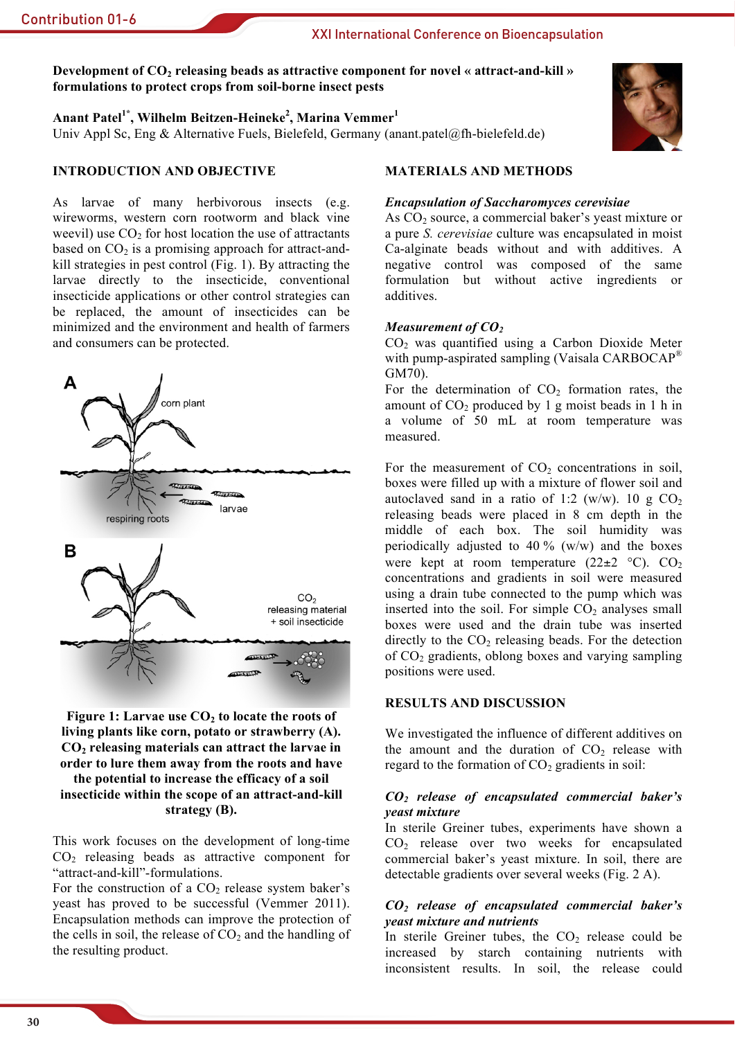## XXI International Conference on Bioencapsulation

# Development of  $CO<sub>2</sub>$  releasing beads as attractive component for novel « attract-and-kill » formulations to protect crops from soil-borne insect pests

Anant Patel<sup>1\*</sup>, Wilhelm Beitzen-Heineke<sup>2</sup>, Marina Vemmer<sup>1</sup> Univ Appl Sc, Eng & Alternative Fuels, Bielefeld, Germany (anant.patel@fh-bielefeld.de)



# **INTRODUCTION AND OBJECTIVE**

As larvae of many herbivorous insects (e.g. wireworms, western corn rootworm and black vine weevil) use  $CO<sub>2</sub>$  for host location the use of attractants based on  $CO<sub>2</sub>$  is a promising approach for attract-andkill strategies in pest control (Fig. 1). By attracting the larvae directly to the insecticide, conventional insecticide applications or other control strategies can be replaced, the amount of insecticides can be minimized and the environment and health of farmers and consumers can be protected.



Figure 1: Larvae use  $CO<sub>2</sub>$  to locate the roots of living plants like corn, potato or strawberry (A).  $CO<sub>2</sub>$  releasing materials can attract the larvae in order to lure them away from the roots and have the potential to increase the efficacy of a soil insecticide within the scope of an attract-and-kill

strategy (B).

This work focuses on the development of long-time  $CO<sub>2</sub>$  releasing beads as attractive component for "attract-and-kill"-formulations.

For the construction of a  $CO<sub>2</sub>$  release system baker's yeast has proved to be successful (Vemmer 2011). Encapsulation methods can improve the protection of the cells in soil, the release of  $CO<sub>2</sub>$  and the handling of the resulting product.

# **MATERIALS AND METHODS**

#### **Encapsulation of Saccharomyces cerevisiae**

As CO<sub>2</sub> source, a commercial baker's yeast mixture or a pure S. cerevisiae culture was encapsulated in moist Ca-alginate beads without and with additives. A negative control was composed of the same formulation but without active ingredients or additives.

#### Measurement of  $CO<sub>2</sub>$

 $CO<sub>2</sub>$  was quantified using a Carbon Dioxide Meter with pump-aspirated sampling (Vaisala CARBOCAP<sup>®</sup> GM70).

For the determination of  $CO<sub>2</sub>$  formation rates, the amount of  $CO<sub>2</sub>$  produced by 1 g moist beads in 1 h in a volume of 50 mL at room temperature was measured

For the measurement of  $CO<sub>2</sub>$  concentrations in soil, boxes were filled up with a mixture of flower soil and autoclaved sand in a ratio of 1:2 (w/w). 10 g  $CO<sub>2</sub>$ releasing beads were placed in 8 cm depth in the middle of each box. The soil humidity was periodically adjusted to 40 % ( $w/w$ ) and the boxes were kept at room temperature  $(22\pm 2 \degree C)$ . CO<sub>2</sub> concentrations and gradients in soil were measured using a drain tube connected to the pump which was inserted into the soil. For simple  $CO<sub>2</sub>$  analyses small boxes were used and the drain tube was inserted directly to the  $CO<sub>2</sub>$  releasing beads. For the detection of  $CO<sub>2</sub>$  gradients, oblong boxes and varying sampling positions were used.

#### **RESULTS AND DISCUSSION**

We investigated the influence of different additives on the amount and the duration of  $CO<sub>2</sub>$  release with regard to the formation of  $CO<sub>2</sub>$  gradients in soil:

#### $CO<sub>2</sub>$  release of encapsulated commercial baker's veast mixture

In sterile Greiner tubes, experiments have shown a  $CO<sub>2</sub>$  release over two weeks for encapsulated commercial baker's yeast mixture. In soil, there are detectable gradients over several weeks (Fig. 2 A).

## $CO<sub>2</sub>$  release of encapsulated commercial baker's *veast mixture and nutrients*

In sterile Greiner tubes, the  $CO<sub>2</sub>$  release could be increased by starch containing nutrients with inconsistent results. In soil, the release could